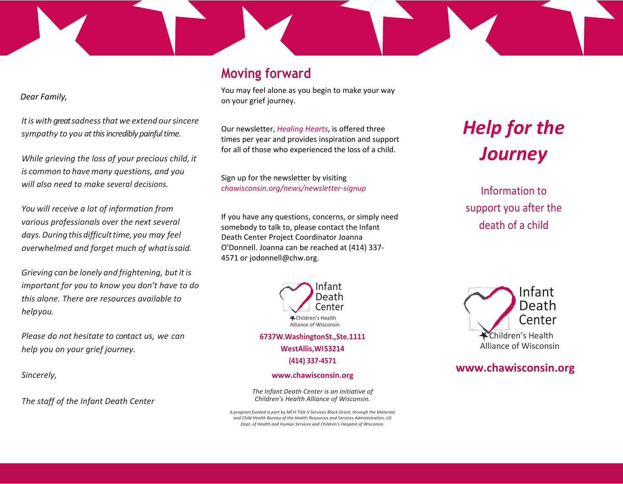### **Moving forward**

 *Dear Family,*

*Itis with great sadnessthat we extend oursincere sympathy to you at this incredibly painful time.*

*While grieving the loss of your precious child, it is common to havemany questions, and you will also need to make several decisions.*

*You will receive a lot of information from various professionals over the next several days.Duringthisdifficulttime, you may feel overwhelmed and forget much of whatissaid.*

*Grieving can be lonely and frightening, butitis important for you to know you don't have to do this alone. There are resources available to helpyou.*

*Please do not hesitate to contact us, we can help you on your grief journey.* 

*Sincerely,*

*The staff of the Infant Death Center*

You may feel alone as you begin to make your way on your grief journey.

Our newsletter, *Healing Hearts*, is offered three times per year and provides inspiration and support for all of those who experienced the loss of a child.

Sign up for the newsletter by visiting *chawisconsin.org/news/newsletter-signup*

If you have any questions, concerns, or simply need somebody to talk to, please contact the Infant Death Center Project Coordinator Joanna O'Donnell. Joanna can be reached at (414) 337- 4571 or jodonnell@chw.org.



**WestAllis,WI53214 (414) 337-4571**

#### **[www.chawisconsin.org](http://www.chawisconsin.org/)**

*The Infant Death Center is an initiative of Children's Health Alliance of Wisconsin.*

*A program funded in part by MCH Title V Services Block Grant, through the Maternal and Child Health Bureau of the Health Resources and Services Administration, US Dept. of Health and Human Services and Children's Hospital of Wisconsin.*

# *Help for the Journey*

Information to support you after the death of a child



#### **[www.chawisconsin.org](http://www.chawisconsin.org/)**